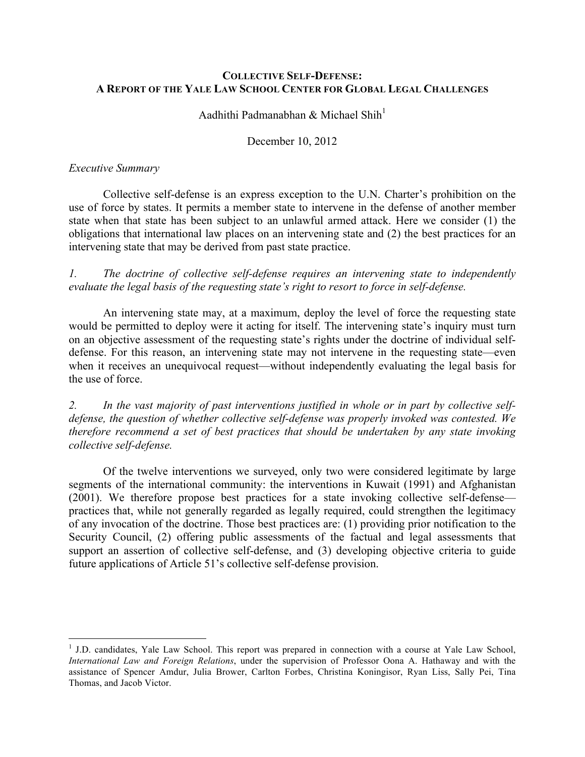## **COLLECTIVE SELF-DEFENSE: A REPORT OF THE YALE LAW SCHOOL CENTER FOR GLOBAL LEGAL CHALLENGES**

Aadhithi Padmanabhan & Michael Shih<sup>1</sup>

December 10, 2012

## *Executive Summary*

Collective self-defense is an express exception to the U.N. Charter's prohibition on the use of force by states. It permits a member state to intervene in the defense of another member state when that state has been subject to an unlawful armed attack. Here we consider (1) the obligations that international law places on an intervening state and (2) the best practices for an intervening state that may be derived from past state practice.

*1. The doctrine of collective self-defense requires an intervening state to independently evaluate the legal basis of the requesting state's right to resort to force in self-defense.*

An intervening state may, at a maximum, deploy the level of force the requesting state would be permitted to deploy were it acting for itself. The intervening state's inquiry must turn on an objective assessment of the requesting state's rights under the doctrine of individual selfdefense. For this reason, an intervening state may not intervene in the requesting state—even when it receives an unequivocal request—without independently evaluating the legal basis for the use of force.

*2. In the vast majority of past interventions justified in whole or in part by collective selfdefense, the question of whether collective self-defense was properly invoked was contested. We therefore recommend a set of best practices that should be undertaken by any state invoking collective self-defense.*

Of the twelve interventions we surveyed, only two were considered legitimate by large segments of the international community: the interventions in Kuwait (1991) and Afghanistan (2001). We therefore propose best practices for a state invoking collective self-defense practices that, while not generally regarded as legally required, could strengthen the legitimacy of any invocation of the doctrine. Those best practices are: (1) providing prior notification to the Security Council, (2) offering public assessments of the factual and legal assessments that support an assertion of collective self-defense, and (3) developing objective criteria to guide future applications of Article 51's collective self-defense provision.

<sup>&</sup>lt;sup>1</sup> J.D. candidates, Yale Law School. This report was prepared in connection with a course at Yale Law School, *International Law and Foreign Relations*, under the supervision of Professor Oona A. Hathaway and with the assistance of Spencer Amdur, Julia Brower, Carlton Forbes, Christina Koningisor, Ryan Liss, Sally Pei, Tina Thomas, and Jacob Victor.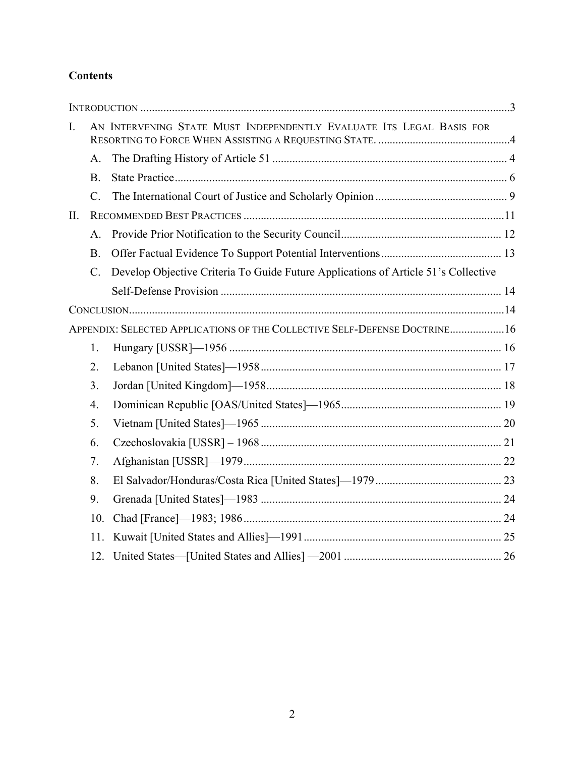# **Contents**

| A.                                                                        |                                                                                    |                                                                      |
|---------------------------------------------------------------------------|------------------------------------------------------------------------------------|----------------------------------------------------------------------|
| <b>B.</b>                                                                 |                                                                                    |                                                                      |
| C.                                                                        |                                                                                    |                                                                      |
|                                                                           |                                                                                    |                                                                      |
| $\mathsf{A}$                                                              |                                                                                    |                                                                      |
| <b>B.</b>                                                                 |                                                                                    |                                                                      |
| $\mathbf{C}$ .                                                            | Develop Objective Criteria To Guide Future Applications of Article 51's Collective |                                                                      |
|                                                                           |                                                                                    |                                                                      |
|                                                                           |                                                                                    |                                                                      |
| APPENDIX: SELECTED APPLICATIONS OF THE COLLECTIVE SELF-DEFENSE DOCTRINE16 |                                                                                    |                                                                      |
| 1.                                                                        |                                                                                    |                                                                      |
| 2.                                                                        |                                                                                    |                                                                      |
| 3 <sub>1</sub>                                                            |                                                                                    |                                                                      |
| 4.                                                                        |                                                                                    |                                                                      |
| 5.                                                                        |                                                                                    |                                                                      |
| 6.                                                                        |                                                                                    |                                                                      |
| 7.                                                                        |                                                                                    |                                                                      |
| 8.                                                                        |                                                                                    |                                                                      |
| 9.                                                                        |                                                                                    |                                                                      |
| 10.                                                                       |                                                                                    |                                                                      |
| 11.                                                                       |                                                                                    |                                                                      |
| 12.                                                                       |                                                                                    |                                                                      |
|                                                                           |                                                                                    | AN INTERVENING STATE MUST INDEPENDENTLY EVALUATE ITS LEGAL BASIS FOR |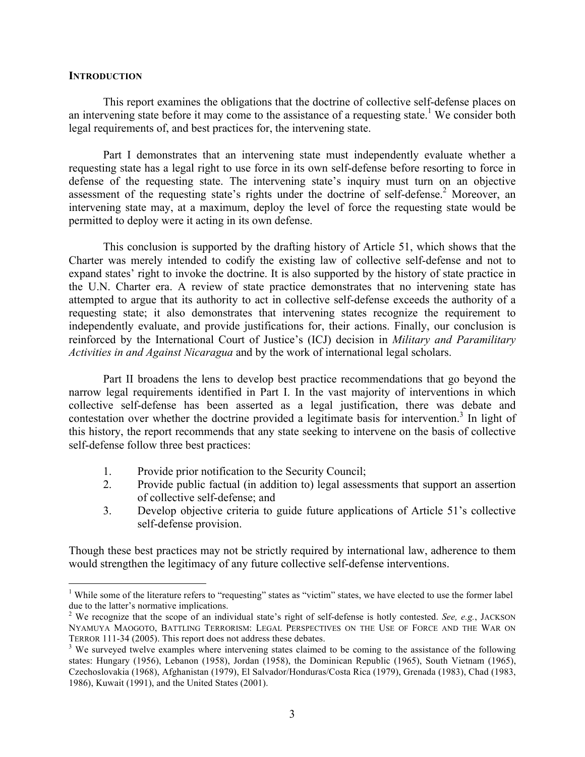#### **INTRODUCTION**

This report examines the obligations that the doctrine of collective self-defense places on an intervening state before it may come to the assistance of a requesting state.<sup>1</sup> We consider both legal requirements of, and best practices for, the intervening state.

Part I demonstrates that an intervening state must independently evaluate whether a requesting state has a legal right to use force in its own self-defense before resorting to force in defense of the requesting state. The intervening state's inquiry must turn on an objective assessment of the requesting state's rights under the doctrine of self-defense.<sup>2</sup> Moreover, an intervening state may, at a maximum, deploy the level of force the requesting state would be permitted to deploy were it acting in its own defense.

This conclusion is supported by the drafting history of Article 51, which shows that the Charter was merely intended to codify the existing law of collective self-defense and not to expand states' right to invoke the doctrine. It is also supported by the history of state practice in the U.N. Charter era. A review of state practice demonstrates that no intervening state has attempted to argue that its authority to act in collective self-defense exceeds the authority of a requesting state; it also demonstrates that intervening states recognize the requirement to independently evaluate, and provide justifications for, their actions. Finally, our conclusion is reinforced by the International Court of Justice's (ICJ) decision in *Military and Paramilitary Activities in and Against Nicaragua* and by the work of international legal scholars.

Part II broadens the lens to develop best practice recommendations that go beyond the narrow legal requirements identified in Part I. In the vast majority of interventions in which collective self-defense has been asserted as a legal justification, there was debate and contestation over whether the doctrine provided a legitimate basis for intervention. <sup>3</sup> In light of this history, the report recommends that any state seeking to intervene on the basis of collective self-defense follow three best practices:

- 1. Provide prior notification to the Security Council;
- 2. Provide public factual (in addition to) legal assessments that support an assertion of collective self-defense; and
- 3. Develop objective criteria to guide future applications of Article 51's collective self-defense provision.

Though these best practices may not be strictly required by international law, adherence to them would strengthen the legitimacy of any future collective self-defense interventions.

<sup>&</sup>lt;sup>1</sup> While some of the literature refers to "requesting" states as "victim" states, we have elected to use the former label due to the latter's normative implications.

<sup>2</sup> We recognize that the scope of an individual state's right of self-defense is hotly contested. *See, e.g.*, JACKSON NYAMUYA MAOGOTO, BATTLING TERRORISM: LEGAL PERSPECTIVES ON THE USE OF FORCE AND THE WAR ON TERROR 111-34 (2005). This report does not address these debates.<br><sup>3</sup> We surveyed twelve examples where intervening states claimed to be coming to the assistance of the following

states: Hungary (1956), Lebanon (1958), Jordan (1958), the Dominican Republic (1965), South Vietnam (1965), Czechoslovakia (1968), Afghanistan (1979), El Salvador/Honduras/Costa Rica (1979), Grenada (1983), Chad (1983, 1986), Kuwait (1991), and the United States (2001).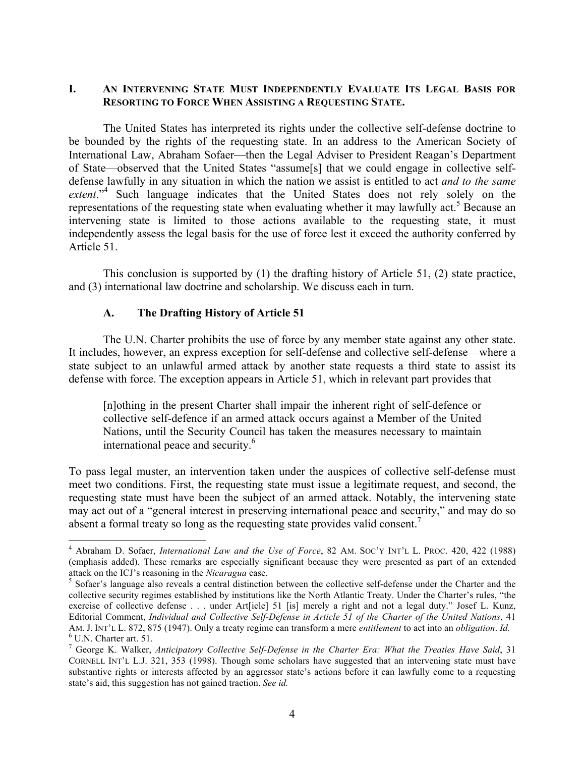# **I. AN INTERVENING STATE MUST INDEPENDENTLY EVALUATE ITS LEGAL BASIS FOR RESORTING TO FORCE WHEN ASSISTING A REQUESTING STATE.**

The United States has interpreted its rights under the collective self-defense doctrine to be bounded by the rights of the requesting state. In an address to the American Society of International Law, Abraham Sofaer—then the Legal Adviser to President Reagan's Department of State—observed that the United States "assume[s] that we could engage in collective selfdefense lawfully in any situation in which the nation we assist is entitled to act *and to the same extent*."4 Such language indicates that the United States does not rely solely on the representations of the requesting state when evaluating whether it may lawfully act.<sup>5</sup> Because an intervening state is limited to those actions available to the requesting state, it must independently assess the legal basis for the use of force lest it exceed the authority conferred by Article 51.

This conclusion is supported by (1) the drafting history of Article 51, (2) state practice, and (3) international law doctrine and scholarship. We discuss each in turn.

## **A. The Drafting History of Article 51**

The U.N. Charter prohibits the use of force by any member state against any other state. It includes, however, an express exception for self-defense and collective self-defense—where a state subject to an unlawful armed attack by another state requests a third state to assist its defense with force. The exception appears in Article 51, which in relevant part provides that

[n]othing in the present Charter shall impair the inherent right of self-defence or collective self-defence if an armed attack occurs against a Member of the United Nations, until the Security Council has taken the measures necessary to maintain international peace and security.<sup>6</sup>

To pass legal muster, an intervention taken under the auspices of collective self-defense must meet two conditions. First, the requesting state must issue a legitimate request, and second, the requesting state must have been the subject of an armed attack. Notably, the intervening state may act out of a "general interest in preserving international peace and security," and may do so absent a formal treaty so long as the requesting state provides valid consent.<sup>7</sup>

 <sup>4</sup> Abraham D. Sofaer, *International Law and the Use of Force*, 82 AM. SOC'Y INT'L L. PROC. 420, 422 (1988) (emphasis added). These remarks are especially significant because they were presented as part of an extended <sup>5</sup> Sofaer's language also reveals a central distinction between the collective self-defense under the Charter and the <sup>5</sup> Sofaer's language also reveals a central distinction between the collective self-defense under the

collective security regimes established by institutions like the North Atlantic Treaty. Under the Charter's rules, "the exercise of collective defense . . . under Art[icle] 51 [is] merely a right and not a legal duty." Josef L. Kunz, Editorial Comment, *Individual and Collective Self-Defense in Article 51 of the Charter of the United Nations*, 41 AM. J. INT'L L. 872, 875 (1947). Only a treaty regime can transform a mere *entitlement* to act into an *obligation*. *Id.* <sup>6</sup> U.N. Charter art. 51.

<sup>7</sup> George K. Walker, *Anticipatory Collective Self-Defense in the Charter Era: What the Treaties Have Said*, 31 CORNELL INT'L L.J. 321, 353 (1998). Though some scholars have suggested that an intervening state must have substantive rights or interests affected by an aggressor state's actions before it can lawfully come to a requesting state's aid, this suggestion has not gained traction. *See id.*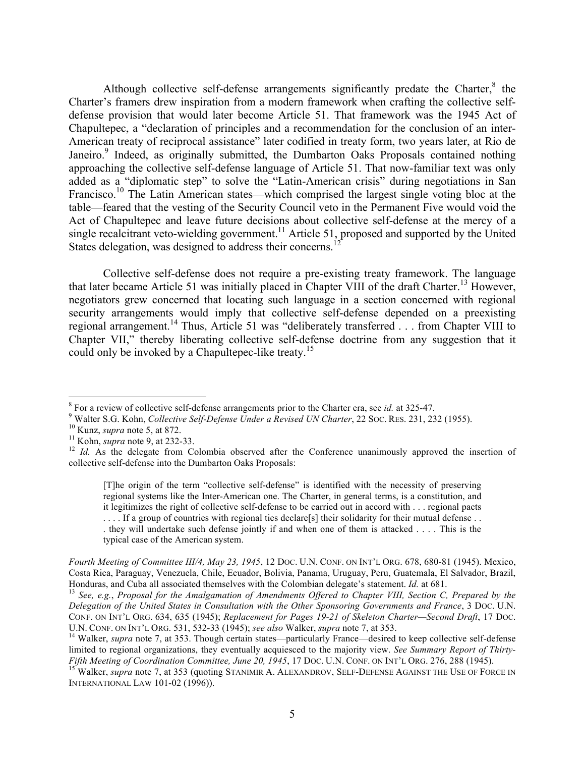Although collective self-defense arrangements significantly predate the Charter, $8$  the Charter's framers drew inspiration from a modern framework when crafting the collective selfdefense provision that would later become Article 51. That framework was the 1945 Act of Chapultepec, a "declaration of principles and a recommendation for the conclusion of an inter-American treaty of reciprocal assistance" later codified in treaty form, two years later, at Rio de Janeiro.<sup>9</sup> Indeed, as originally submitted, the Dumbarton Oaks Proposals contained nothing approaching the collective self-defense language of Article 51. That now-familiar text was only added as a "diplomatic step" to solve the "Latin-American crisis" during negotiations in San Francisco.<sup>10</sup> The Latin American states—which comprised the largest single voting bloc at the table—feared that the vesting of the Security Council veto in the Permanent Five would void the Act of Chapultepec and leave future decisions about collective self-defense at the mercy of a single recalcitrant veto-wielding government.<sup>11</sup> Article 51, proposed and supported by the United States delegation, was designed to address their concerns.<sup>1</sup>

Collective self-defense does not require a pre-existing treaty framework. The language that later became Article 51 was initially placed in Chapter VIII of the draft Charter.<sup>13</sup> However, negotiators grew concerned that locating such language in a section concerned with regional security arrangements would imply that collective self-defense depended on a preexisting regional arrangement.<sup>14</sup> Thus, Article 51 was "deliberately transferred . . . from Chapter VIII to Chapter VII," thereby liberating collective self-defense doctrine from any suggestion that it could only be invoked by a Chapultepec-like treaty.<sup>15</sup>

[T]he origin of the term "collective self-defense" is identified with the necessity of preserving regional systems like the Inter-American one. The Charter, in general terms, is a constitution, and it legitimizes the right of collective self-defense to be carried out in accord with . . . regional pacts

... If a group of countries with regional ties declare[s] their solidarity for their mutual defense ...

. they will undertake such defense jointly if and when one of them is attacked . . . . This is the typical case of the American system.

*Fourth Meeting of Committee III/4, May 23, 1945*, 12 DOC. U.N. CONF. ON INT'L ORG. 678, 680-81 (1945). Mexico, Costa Rica, Paraguay, Venezuela, Chile, Ecuador, Bolivia, Panama, Uruguay, Peru, Guatemala, El Salvador, Brazil, Honduras, and Cuba all associated themselves with the Colombian delegate's statement. Id. at 681.

<sup>13</sup> See, e.g., Proposal for the Amalgamation of Amendments Offered to Chapter VIII, Section C, Prepared by the *Delegation of the United States in Consultation with the Other Sponsoring Governments and France*, 3 DOC. U.N. CONF. ON INT'L ORG. 634, 635 (1945); *Replacement for Pages 19-21 of Skeleton Charter—Second Draft*, 17 DOC. U.N. CONF. ON INT'L ORG. 531, 532-33 (1945); *see also* Walker, *supra* note 7, at 353.<br><sup>14</sup> Walker, *supra* note 7, at 353. Though certain states—particularly France—desired to keep collective self-defense

<sup>&</sup>lt;sup>8</sup> For a review of collective self-defense arrangements prior to the Charter era, see *id.* at 325-47.<br><sup>9</sup> Walter S.G. Kohn, *Collective Self-Defense Under a Revised UN Charter*, 22 Soc. RES. 231, 232 (1955).<br><sup>10</sup> Kunz,

collective self-defense into the Dumbarton Oaks Proposals:

limited to regional organizations, they eventually acquiesced to the majority view. *See Summary Report of Thirty-*<br>*Fifth Meeting of Coordination Committee, June 20, 1945, 17 DOC. U.N. CONF. ON INT'L ORG. 276, 288 (1945).* 

<sup>&</sup>lt;sup>15</sup> Walker, *supra* note 7, at 353 (quoting STANIMIR A. ALEXANDROV, SELF-DEFENSE AGAINST THE USE OF FORCE IN INTERNATIONAL LAW 101-02 (1996)).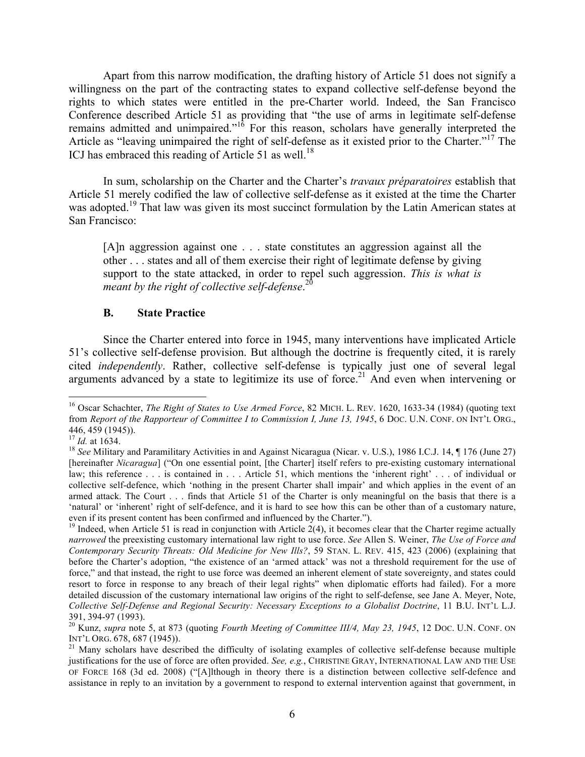Apart from this narrow modification, the drafting history of Article 51 does not signify a willingness on the part of the contracting states to expand collective self-defense beyond the rights to which states were entitled in the pre-Charter world. Indeed, the San Francisco Conference described Article 51 as providing that "the use of arms in legitimate self-defense remains admitted and unimpaired."<sup>16</sup> For this reason, scholars have generally interpreted the Article as "leaving unimpaired the right of self-defense as it existed prior to the Charter."<sup>17</sup> The ICJ has embraced this reading of Article 51 as well.<sup>18</sup>

In sum, scholarship on the Charter and the Charter's *travaux préparatoires* establish that Article 51 merely codified the law of collective self-defense as it existed at the time the Charter was adopted.<sup>19</sup> That law was given its most succinct formulation by the Latin American states at San Francisco:

[A]n aggression against one . . . state constitutes an aggression against all the other . . . states and all of them exercise their right of legitimate defense by giving support to the state attacked, in order to repel such aggression. *This is what is meant by the right of collective self-defense*. 20

### **B. State Practice**

Since the Charter entered into force in 1945, many interventions have implicated Article 51's collective self-defense provision. But although the doctrine is frequently cited, it is rarely cited *independently*. Rather, collective self-defense is typically just one of several legal arguments advanced by a state to legitimize its use of force.<sup>21</sup> And even when intervening or

 <sup>16</sup> Oscar Schachter, *The Right of States to Use Armed Force*, 82 MICH. L. REV. 1620, 1633-34 (1984) (quoting text from *Report of the Rapporteur of Committee I to Commission I, June 13, 1945*, 6 Doc. U.N. CONF. ON INT'L ORG., 446, 459 (1945)).<br><sup>17</sup> *Id.* at 1634.

<sup>&</sup>lt;sup>18</sup> *See* Military and Paramilitary Activities in and Against Nicaragua (Nicar. v. U.S.), 1986 I.C.J. 14, ¶ 176 (June 27) [hereinafter *Nicaragua*] ("On one essential point, [the Charter] itself refers to pre-existing customary international law; this reference . . . is contained in . . . Article 51, which mentions the 'inherent right' . . . of individual or collective self-defence, which 'nothing in the present Charter shall impair' and which applies in the event of an armed attack. The Court . . . finds that Article 51 of the Charter is only meaningful on the basis that there is a 'natural' or 'inherent' right of self-defence, and it is hard to see how this can be other than of a customary nature, even if its present content has been confirmed and influenced by the Charter.").

 $19$  Indeed, when Article 51 is read in conjunction with Article 2(4), it becomes clear that the Charter regime actually *narrowed* the preexisting customary international law right to use force. *See* Allen S. Weiner, *The Use of Force and Contemporary Security Threats: Old Medicine for New Ills?*, 59 STAN. L. REV. 415, 423 (2006) (explaining that before the Charter's adoption, "the existence of an 'armed attack' was not a threshold requirement for the use of force," and that instead, the right to use force was deemed an inherent element of state sovereignty, and states could resort to force in response to any breach of their legal rights" when diplomatic efforts had failed). For a more detailed discussion of the customary international law origins of the right to self-defense, see Jane A. Meyer, Note, *Collective Self-Defense and Regional Security: Necessary Exceptions to a Globalist Doctrine*, 11 B.U. INT'L L.J. 391, 394-97 (1993). <sup>20</sup> Kunz, *supra* note 5, at 873 (quoting *Fourth Meeting of Committee III/4, May 23, 1945*, 12 DOC. U.N. CONF. ON

INT'L ORG. 678, 687 (1945)).<br><sup>21</sup> Many scholars have described the difficulty of isolating examples of collective self-defense because multiple

justifications for the use of force are often provided. *See, e.g.*, CHRISTINE GRAY, INTERNATIONAL LAW AND THE USE OF FORCE 168 (3d ed. 2008) ("[A]lthough in theory there is a distinction between collective self-defence and assistance in reply to an invitation by a government to respond to external intervention against that government, in